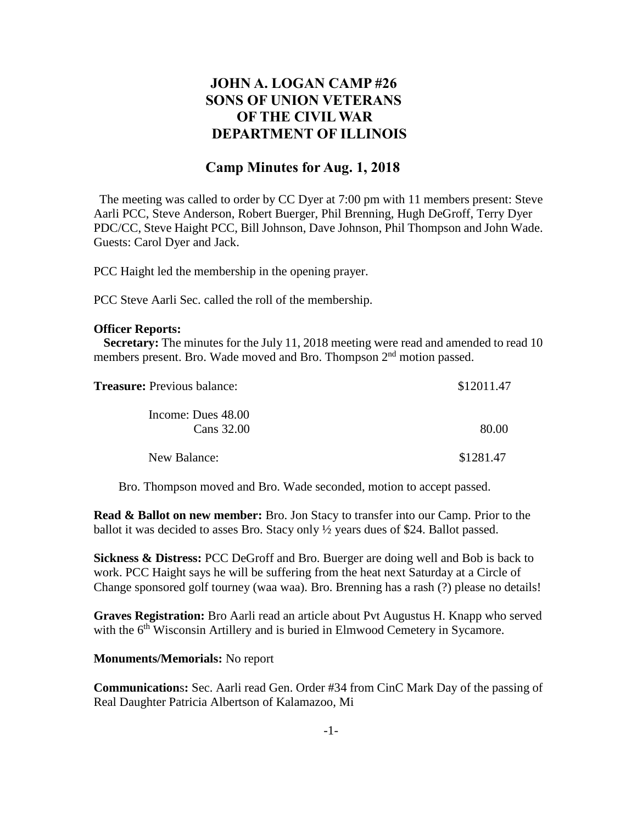## **JOHN A. LOGAN CAMP #26 SONS OF UNION VETERANS OF THE CIVIL WAR DEPARTMENT OF ILLINOIS**

## **Camp Minutes for Aug. 1, 2018**

The meeting was called to order by CC Dyer at 7:00 pm with 11 members present: Steve Aarli PCC, Steve Anderson, Robert Buerger, Phil Brenning, Hugh DeGroff, Terry Dyer PDC/CC, Steve Haight PCC, Bill Johnson, Dave Johnson, Phil Thompson and John Wade. Guests: Carol Dyer and Jack.

PCC Haight led the membership in the opening prayer.

PCC Steve Aarli Sec. called the roll of the membership.

## **Officer Reports:**

 **Secretary:** The minutes for the July 11, 2018 meeting were read and amended to read 10 members present. Bro. Wade moved and Bro. Thompson 2<sup>nd</sup> motion passed.

| <b>Treasure:</b> Previous balance: | \$12011.47 |
|------------------------------------|------------|
| Income: Dues 48.00<br>Cans 32.00   | 80.00      |
|                                    |            |
| New Balance:                       | \$1281.47  |

Bro. Thompson moved and Bro. Wade seconded, motion to accept passed.

**Read & Ballot on new member:** Bro. Jon Stacy to transfer into our Camp. Prior to the ballot it was decided to asses Bro. Stacy only ½ years dues of \$24. Ballot passed.

**Sickness & Distress:** PCC DeGroff and Bro. Buerger are doing well and Bob is back to work. PCC Haight says he will be suffering from the heat next Saturday at a Circle of Change sponsored golf tourney (waa waa). Bro. Brenning has a rash (?) please no details!

**Graves Registration:** Bro Aarli read an article about Pvt Augustus H. Knapp who served with the  $6<sup>th</sup> Wisconsin Artillery and is buried in Elmwood Cemetery in Sycamore.$ 

**Monuments/Memorials:** No report

**Communication**s**:** Sec. Aarli read Gen. Order #34 from CinC Mark Day of the passing of Real Daughter Patricia Albertson of Kalamazoo, Mi